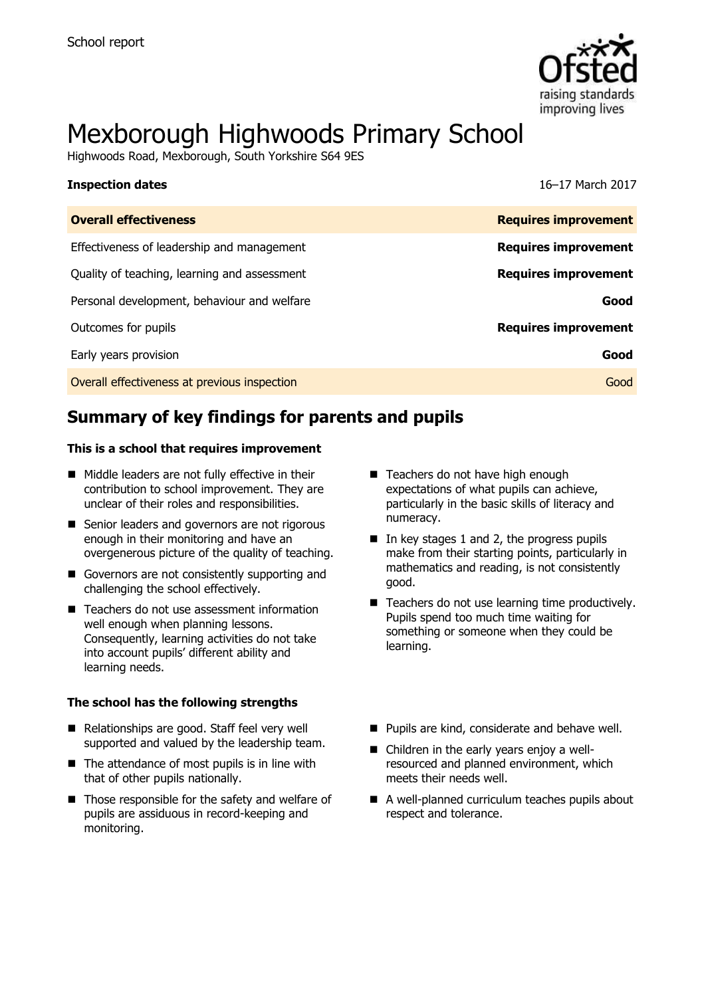

# Mexborough Highwoods Primary School

Highwoods Road, Mexborough, South Yorkshire S64 9ES

| <b>Inspection dates</b>                      | 16–17 March 2017            |
|----------------------------------------------|-----------------------------|
| <b>Overall effectiveness</b>                 | <b>Requires improvement</b> |
| Effectiveness of leadership and management   | <b>Requires improvement</b> |
| Quality of teaching, learning and assessment | <b>Requires improvement</b> |
| Personal development, behaviour and welfare  | Good                        |
| Outcomes for pupils                          | <b>Requires improvement</b> |
| Early years provision                        | Good                        |
| Overall effectiveness at previous inspection | Good                        |

# **Summary of key findings for parents and pupils**

#### **This is a school that requires improvement**

- Middle leaders are not fully effective in their contribution to school improvement. They are unclear of their roles and responsibilities.
- Senior leaders and governors are not rigorous enough in their monitoring and have an overgenerous picture of the quality of teaching.
- Governors are not consistently supporting and challenging the school effectively.
- Teachers do not use assessment information well enough when planning lessons. Consequently, learning activities do not take into account pupils' different ability and learning needs.

#### **The school has the following strengths**

- Relationships are good. Staff feel very well supported and valued by the leadership team.
- $\blacksquare$  The attendance of most pupils is in line with that of other pupils nationally.
- $\blacksquare$  Those responsible for the safety and welfare of pupils are assiduous in record-keeping and monitoring.
- Teachers do not have high enough expectations of what pupils can achieve, particularly in the basic skills of literacy and numeracy.
- $\blacksquare$  In key stages 1 and 2, the progress pupils make from their starting points, particularly in mathematics and reading, is not consistently good.
- Teachers do not use learning time productively. Pupils spend too much time waiting for something or someone when they could be learning.
- **Pupils are kind, considerate and behave well.**
- Children in the early years enjoy a wellresourced and planned environment, which meets their needs well.
- A well-planned curriculum teaches pupils about respect and tolerance.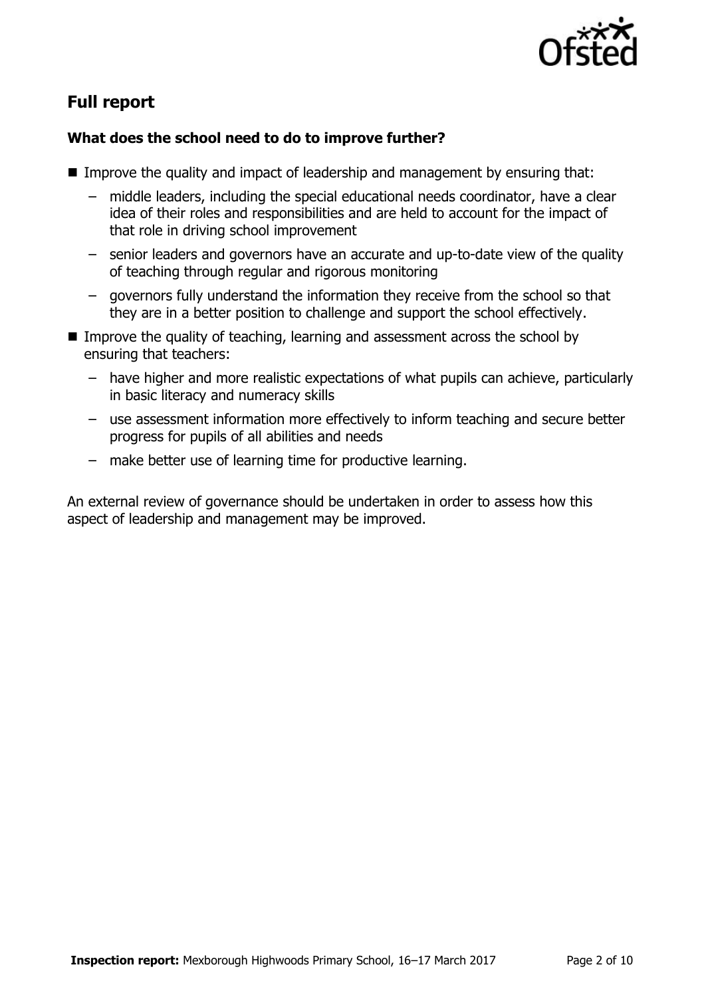

# **Full report**

### **What does the school need to do to improve further?**

- Improve the quality and impact of leadership and management by ensuring that:
	- middle leaders, including the special educational needs coordinator, have a clear idea of their roles and responsibilities and are held to account for the impact of that role in driving school improvement
	- senior leaders and governors have an accurate and up-to-date view of the quality of teaching through regular and rigorous monitoring
	- governors fully understand the information they receive from the school so that they are in a better position to challenge and support the school effectively.
- Improve the quality of teaching, learning and assessment across the school by ensuring that teachers:
	- have higher and more realistic expectations of what pupils can achieve, particularly in basic literacy and numeracy skills
	- use assessment information more effectively to inform teaching and secure better progress for pupils of all abilities and needs
	- make better use of learning time for productive learning.

An external review of governance should be undertaken in order to assess how this aspect of leadership and management may be improved.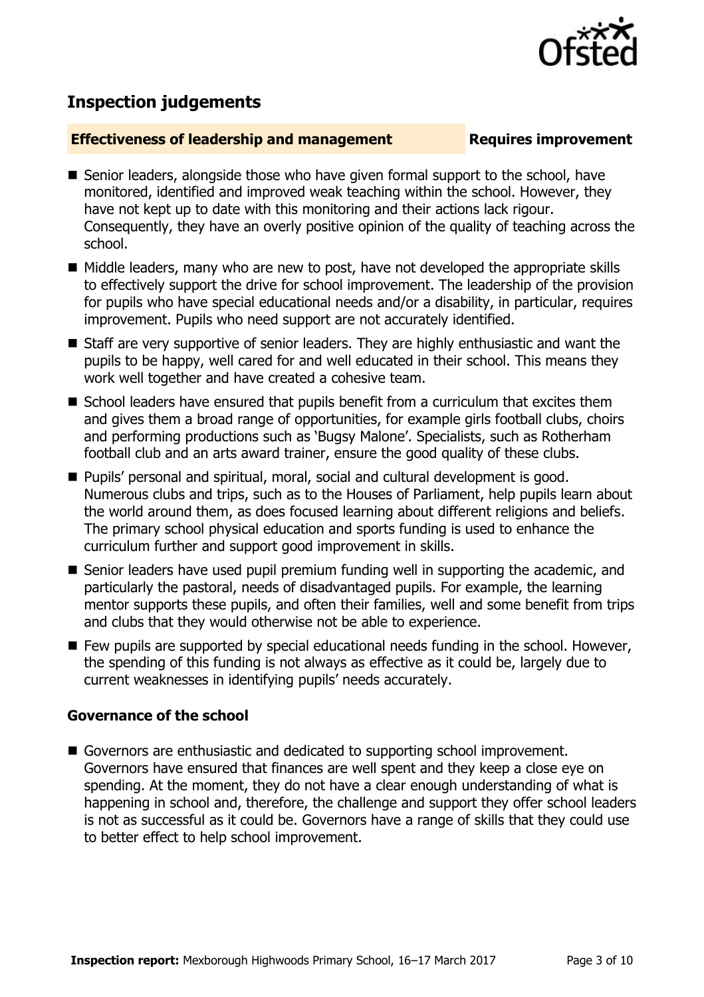

## **Inspection judgements**

#### **Effectiveness of leadership and management Requires improvement**

- Senior leaders, alongside those who have given formal support to the school, have monitored, identified and improved weak teaching within the school. However, they have not kept up to date with this monitoring and their actions lack rigour. Consequently, they have an overly positive opinion of the quality of teaching across the school.
- Middle leaders, many who are new to post, have not developed the appropriate skills to effectively support the drive for school improvement. The leadership of the provision for pupils who have special educational needs and/or a disability, in particular, requires improvement. Pupils who need support are not accurately identified.
- Staff are very supportive of senior leaders. They are highly enthusiastic and want the pupils to be happy, well cared for and well educated in their school. This means they work well together and have created a cohesive team.
- School leaders have ensured that pupils benefit from a curriculum that excites them and gives them a broad range of opportunities, for example girls football clubs, choirs and performing productions such as 'Bugsy Malone'. Specialists, such as Rotherham football club and an arts award trainer, ensure the good quality of these clubs.
- Pupils' personal and spiritual, moral, social and cultural development is good. Numerous clubs and trips, such as to the Houses of Parliament, help pupils learn about the world around them, as does focused learning about different religions and beliefs. The primary school physical education and sports funding is used to enhance the curriculum further and support good improvement in skills.
- Senior leaders have used pupil premium funding well in supporting the academic, and particularly the pastoral, needs of disadvantaged pupils. For example, the learning mentor supports these pupils, and often their families, well and some benefit from trips and clubs that they would otherwise not be able to experience.
- Few pupils are supported by special educational needs funding in the school. However, the spending of this funding is not always as effective as it could be, largely due to current weaknesses in identifying pupils' needs accurately.

### **Governance of the school**

Governors are enthusiastic and dedicated to supporting school improvement. Governors have ensured that finances are well spent and they keep a close eye on spending. At the moment, they do not have a clear enough understanding of what is happening in school and, therefore, the challenge and support they offer school leaders is not as successful as it could be. Governors have a range of skills that they could use to better effect to help school improvement.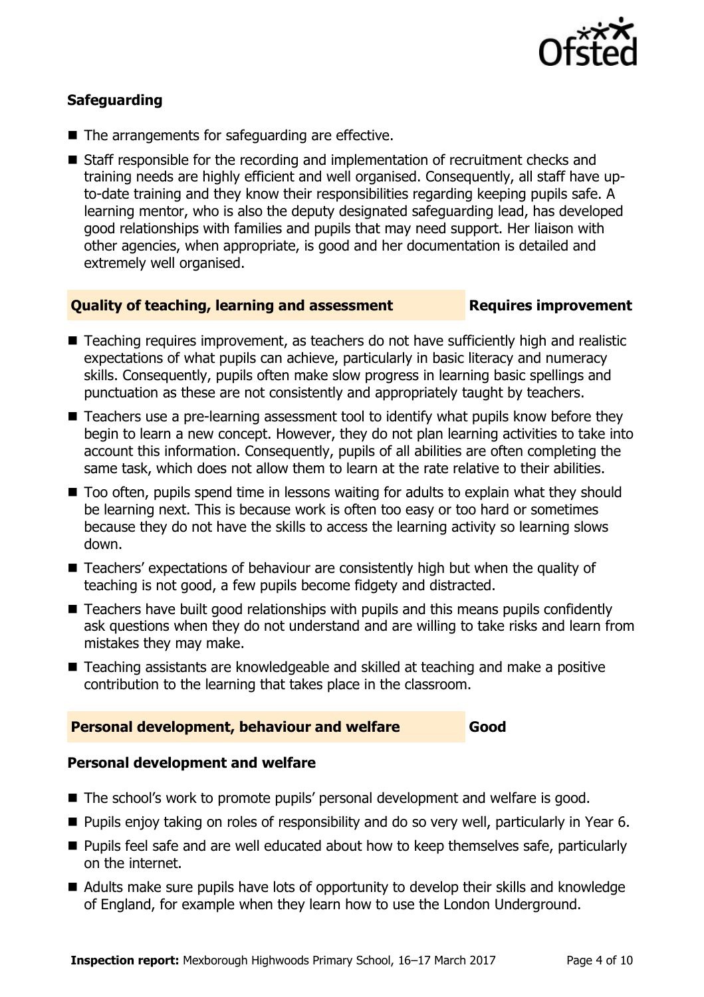

### **Safeguarding**

- The arrangements for safeguarding are effective.
- Staff responsible for the recording and implementation of recruitment checks and training needs are highly efficient and well organised. Consequently, all staff have upto-date training and they know their responsibilities regarding keeping pupils safe. A learning mentor, who is also the deputy designated safeguarding lead, has developed good relationships with families and pupils that may need support. Her liaison with other agencies, when appropriate, is good and her documentation is detailed and extremely well organised.

#### **Quality of teaching, learning and assessment Requires improvement**

- Teaching requires improvement, as teachers do not have sufficiently high and realistic expectations of what pupils can achieve, particularly in basic literacy and numeracy skills. Consequently, pupils often make slow progress in learning basic spellings and punctuation as these are not consistently and appropriately taught by teachers.
- Teachers use a pre-learning assessment tool to identify what pupils know before they begin to learn a new concept. However, they do not plan learning activities to take into account this information. Consequently, pupils of all abilities are often completing the same task, which does not allow them to learn at the rate relative to their abilities.
- Too often, pupils spend time in lessons waiting for adults to explain what they should be learning next. This is because work is often too easy or too hard or sometimes because they do not have the skills to access the learning activity so learning slows down.
- Teachers' expectations of behaviour are consistently high but when the quality of teaching is not good, a few pupils become fidgety and distracted.
- Teachers have built good relationships with pupils and this means pupils confidently ask questions when they do not understand and are willing to take risks and learn from mistakes they may make.
- Teaching assistants are knowledgeable and skilled at teaching and make a positive contribution to the learning that takes place in the classroom.

#### **Personal development, behaviour and welfare Good**

### **Personal development and welfare**

- The school's work to promote pupils' personal development and welfare is good.
- Pupils enjoy taking on roles of responsibility and do so very well, particularly in Year 6.
- Pupils feel safe and are well educated about how to keep themselves safe, particularly on the internet.
- Adults make sure pupils have lots of opportunity to develop their skills and knowledge of England, for example when they learn how to use the London Underground.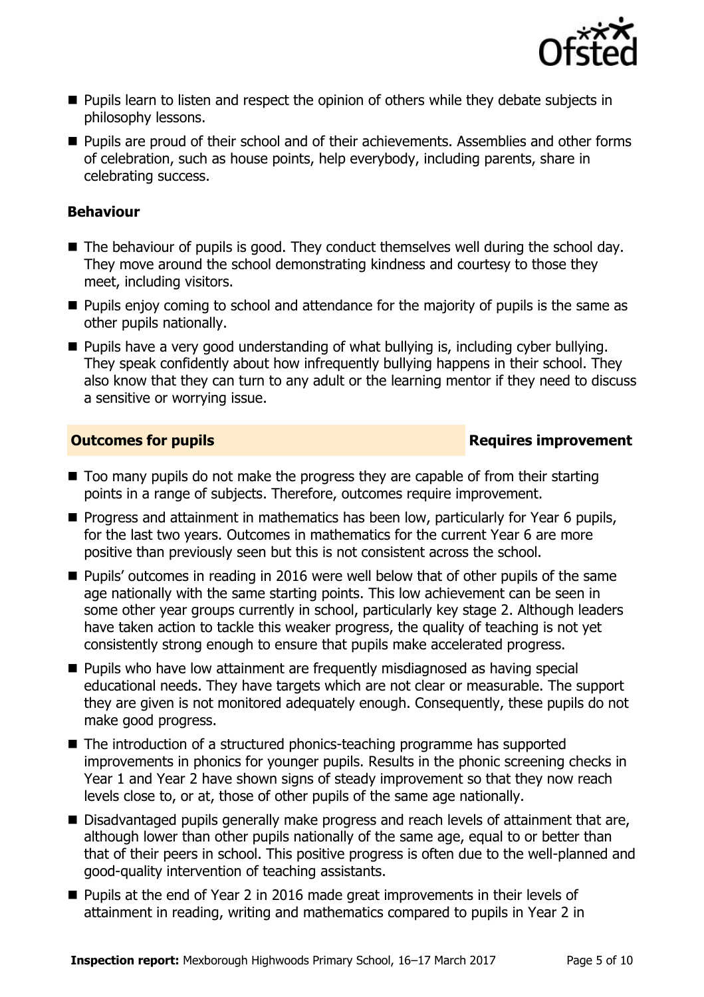

- **Pupils learn to listen and respect the opinion of others while they debate subjects in** philosophy lessons.
- **Pupils are proud of their school and of their achievements. Assemblies and other forms** of celebration, such as house points, help everybody, including parents, share in celebrating success.

#### **Behaviour**

- The behaviour of pupils is good. They conduct themselves well during the school day. They move around the school demonstrating kindness and courtesy to those they meet, including visitors.
- $\blacksquare$  Pupils enjoy coming to school and attendance for the majority of pupils is the same as other pupils nationally.
- **Pupils have a very good understanding of what bullying is, including cyber bullying.** They speak confidently about how infrequently bullying happens in their school. They also know that they can turn to any adult or the learning mentor if they need to discuss a sensitive or worrying issue.

### **Outcomes for pupils Requires improvement**

- Too many pupils do not make the progress they are capable of from their starting points in a range of subjects. Therefore, outcomes require improvement.
- **Progress and attainment in mathematics has been low, particularly for Year 6 pupils,** for the last two years. Outcomes in mathematics for the current Year 6 are more positive than previously seen but this is not consistent across the school.
- **Pupils'** outcomes in reading in 2016 were well below that of other pupils of the same age nationally with the same starting points. This low achievement can be seen in some other year groups currently in school, particularly key stage 2. Although leaders have taken action to tackle this weaker progress, the quality of teaching is not yet consistently strong enough to ensure that pupils make accelerated progress.
- **Pupils who have low attainment are frequently misdiagnosed as having special** educational needs. They have targets which are not clear or measurable. The support they are given is not monitored adequately enough. Consequently, these pupils do not make good progress.
- The introduction of a structured phonics-teaching programme has supported improvements in phonics for younger pupils. Results in the phonic screening checks in Year 1 and Year 2 have shown signs of steady improvement so that they now reach levels close to, or at, those of other pupils of the same age nationally.
- Disadvantaged pupils generally make progress and reach levels of attainment that are, although lower than other pupils nationally of the same age, equal to or better than that of their peers in school. This positive progress is often due to the well-planned and good-quality intervention of teaching assistants.
- Pupils at the end of Year 2 in 2016 made great improvements in their levels of attainment in reading, writing and mathematics compared to pupils in Year 2 in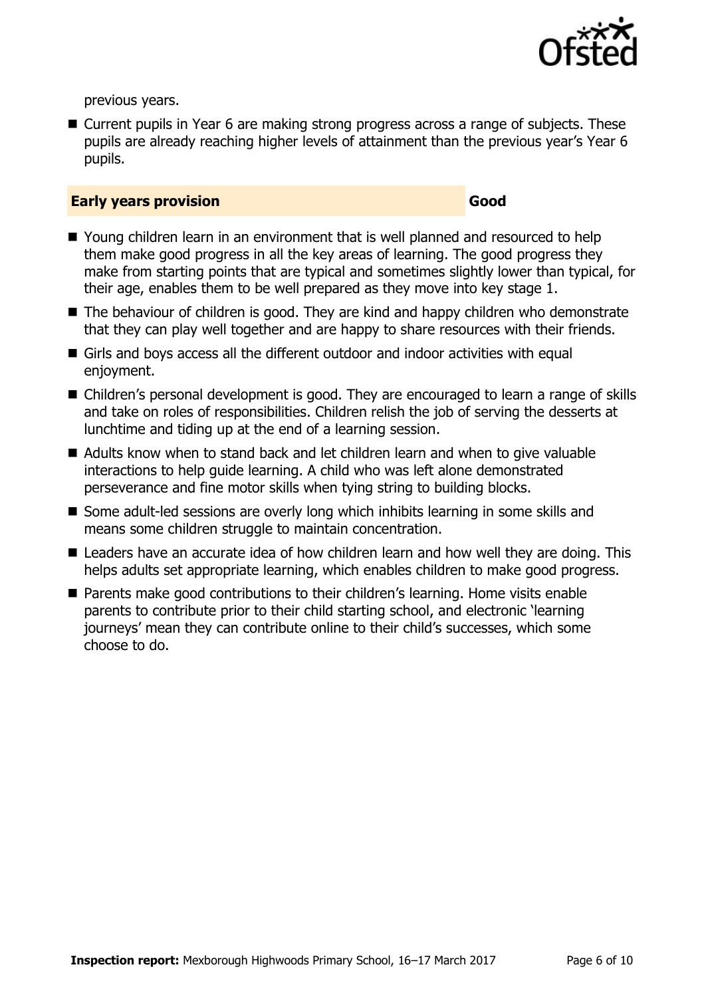

previous years.

■ Current pupils in Year 6 are making strong progress across a range of subjects. These pupils are already reaching higher levels of attainment than the previous year's Year 6 pupils.

#### **Early years provision Good Good**

- Young children learn in an environment that is well planned and resourced to help them make good progress in all the key areas of learning. The good progress they make from starting points that are typical and sometimes slightly lower than typical, for their age, enables them to be well prepared as they move into key stage 1.
- The behaviour of children is good. They are kind and happy children who demonstrate that they can play well together and are happy to share resources with their friends.
- Girls and boys access all the different outdoor and indoor activities with equal enjoyment.
- Children's personal development is good. They are encouraged to learn a range of skills and take on roles of responsibilities. Children relish the job of serving the desserts at lunchtime and tiding up at the end of a learning session.
- Adults know when to stand back and let children learn and when to give valuable interactions to help guide learning. A child who was left alone demonstrated perseverance and fine motor skills when tying string to building blocks.
- Some adult-led sessions are overly long which inhibits learning in some skills and means some children struggle to maintain concentration.
- Leaders have an accurate idea of how children learn and how well they are doing. This helps adults set appropriate learning, which enables children to make good progress.
- Parents make good contributions to their children's learning. Home visits enable parents to contribute prior to their child starting school, and electronic 'learning journeys' mean they can contribute online to their child's successes, which some choose to do.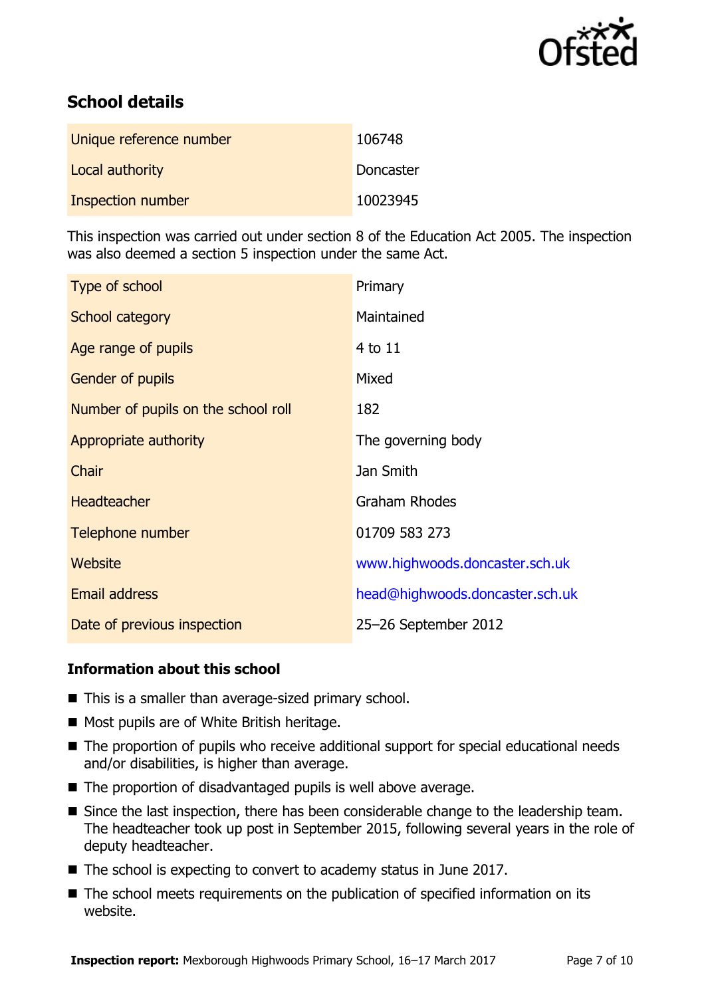

# **School details**

| Unique reference number | 106748    |
|-------------------------|-----------|
| Local authority         | Doncaster |
| Inspection number       | 10023945  |

This inspection was carried out under section 8 of the Education Act 2005. The inspection was also deemed a section 5 inspection under the same Act.

| Type of school                      | Primary                         |
|-------------------------------------|---------------------------------|
| School category                     | Maintained                      |
| Age range of pupils                 | 4 to 11                         |
| Gender of pupils                    | Mixed                           |
| Number of pupils on the school roll | 182                             |
| Appropriate authority               | The governing body              |
| Chair                               | Jan Smith                       |
| <b>Headteacher</b>                  | <b>Graham Rhodes</b>            |
| Telephone number                    | 01709 583 273                   |
| Website                             | www.highwoods.doncaster.sch.uk  |
| <b>Email address</b>                | head@highwoods.doncaster.sch.uk |
| Date of previous inspection         | 25-26 September 2012            |

### **Information about this school**

- This is a smaller than average-sized primary school.
- Most pupils are of White British heritage.
- The proportion of pupils who receive additional support for special educational needs and/or disabilities, is higher than average.
- The proportion of disadvantaged pupils is well above average.
- Since the last inspection, there has been considerable change to the leadership team. The headteacher took up post in September 2015, following several years in the role of deputy headteacher.
- The school is expecting to convert to academy status in June 2017.
- The school meets requirements on the publication of specified information on its website.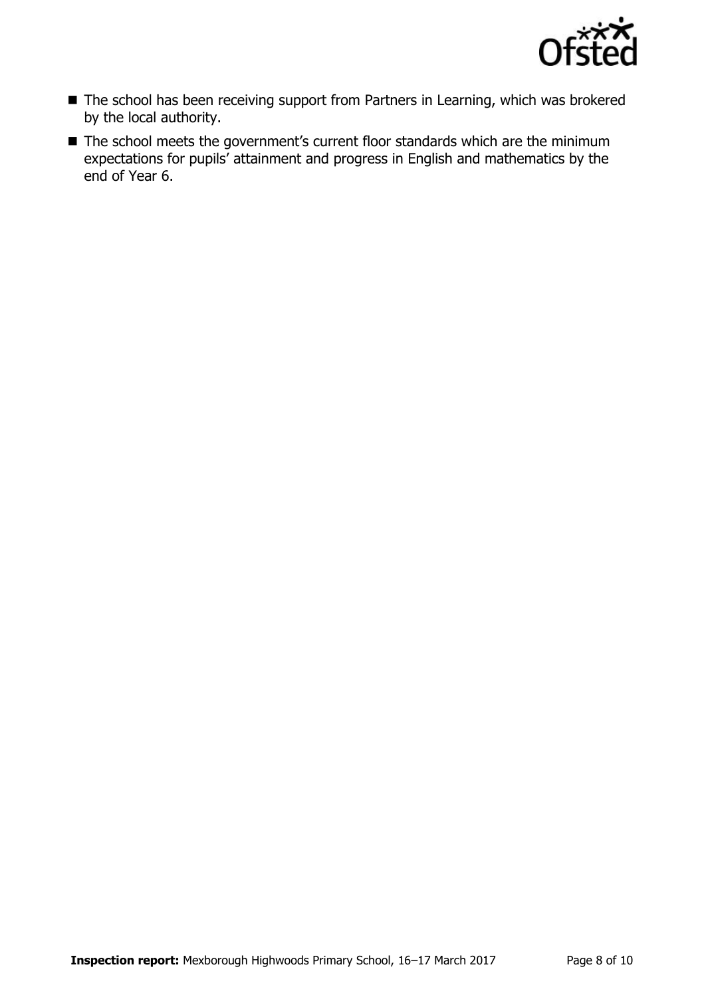

- The school has been receiving support from Partners in Learning, which was brokered by the local authority.
- The school meets the government's current floor standards which are the minimum expectations for pupils' attainment and progress in English and mathematics by the end of Year 6.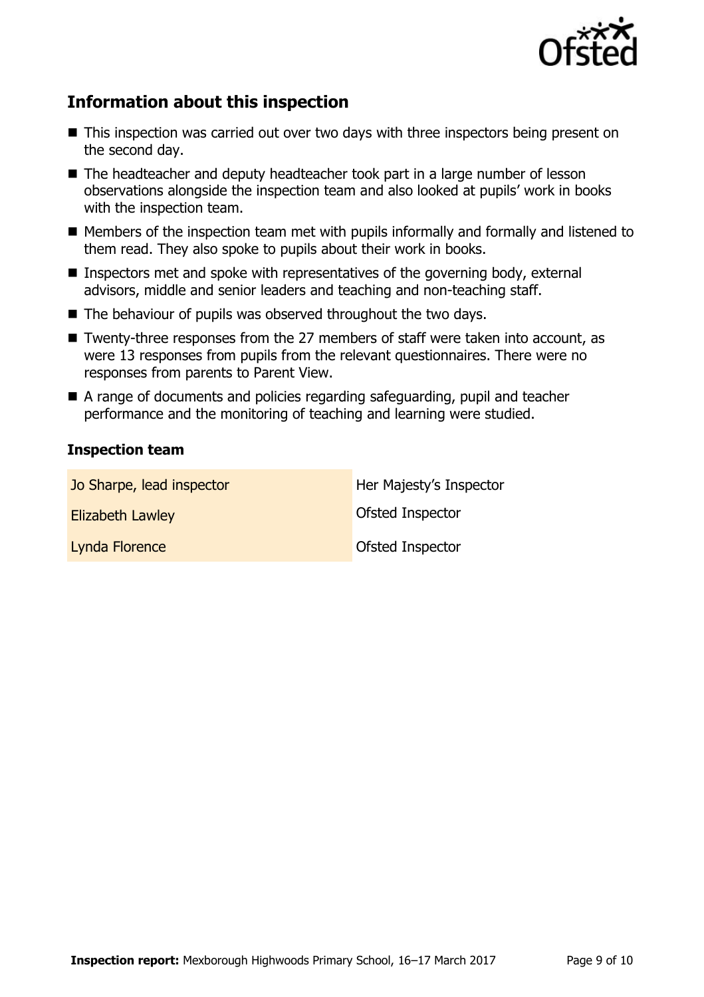

# **Information about this inspection**

- This inspection was carried out over two days with three inspectors being present on the second day.
- The headteacher and deputy headteacher took part in a large number of lesson observations alongside the inspection team and also looked at pupils' work in books with the inspection team.
- Members of the inspection team met with pupils informally and formally and listened to them read. They also spoke to pupils about their work in books.
- Inspectors met and spoke with representatives of the governing body, external advisors, middle and senior leaders and teaching and non-teaching staff.
- The behaviour of pupils was observed throughout the two days.
- Twenty-three responses from the 27 members of staff were taken into account, as were 13 responses from pupils from the relevant questionnaires. There were no responses from parents to Parent View.
- A range of documents and policies regarding safeguarding, pupil and teacher performance and the monitoring of teaching and learning were studied.

#### **Inspection team**

| Jo Sharpe, lead inspector | Her Majesty's Inspector |
|---------------------------|-------------------------|
| <b>Elizabeth Lawley</b>   | Ofsted Inspector        |
| Lynda Florence            | <b>Ofsted Inspector</b> |